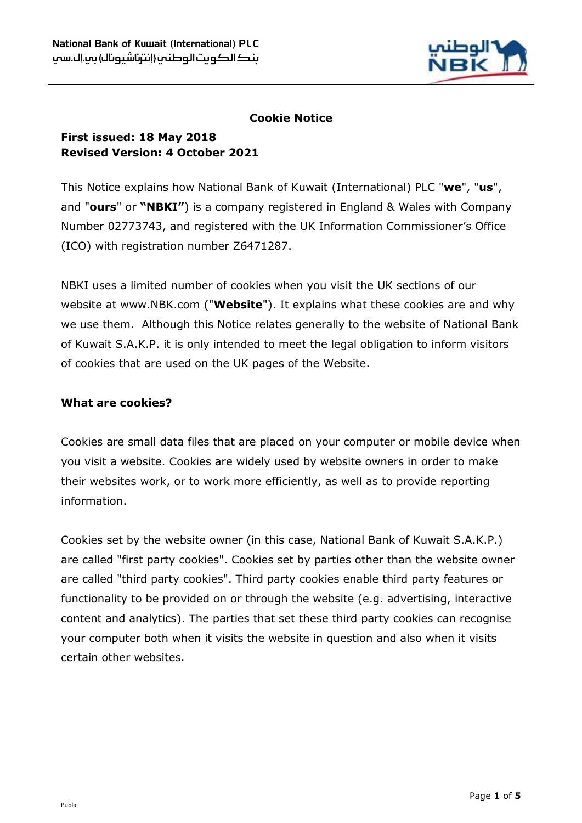

## **Cookie Notice**

# **First issued: 18 May 2018 Revised Version: 4 October 2021**

This Notice explains how National Bank of Kuwait (International) PLC "**we**", "**us**", and "**ours**" or **"NBKI"**) is a company registered in England & Wales with Company Number 02773743, and registered with the UK Information Commissioner's Office (ICO) with registration number Z6471287.

NBKI uses a limited number of cookies when you visit the UK sections of our website at www.NBK.com ("**Website**"). It explains what these cookies are and why we use them. Although this Notice relates generally to the website of National Bank of Kuwait S.A.K.P. it is only intended to meet the legal obligation to inform visitors of cookies that are used on the UK pages of the Website.

# **What are cookies?**

Cookies are small data files that are placed on your computer or mobile device when you visit a website. Cookies are widely used by website owners in order to make their websites work, or to work more efficiently, as well as to provide reporting information.

Cookies set by the website owner (in this case, National Bank of Kuwait S.A.K.P.) are called "first party cookies". Cookies set by parties other than the website owner are called "third party cookies". Third party cookies enable third party features or functionality to be provided on or through the website (e.g. advertising, interactive content and analytics). The parties that set these third party cookies can recognise your computer both when it visits the website in question and also when it visits certain other websites.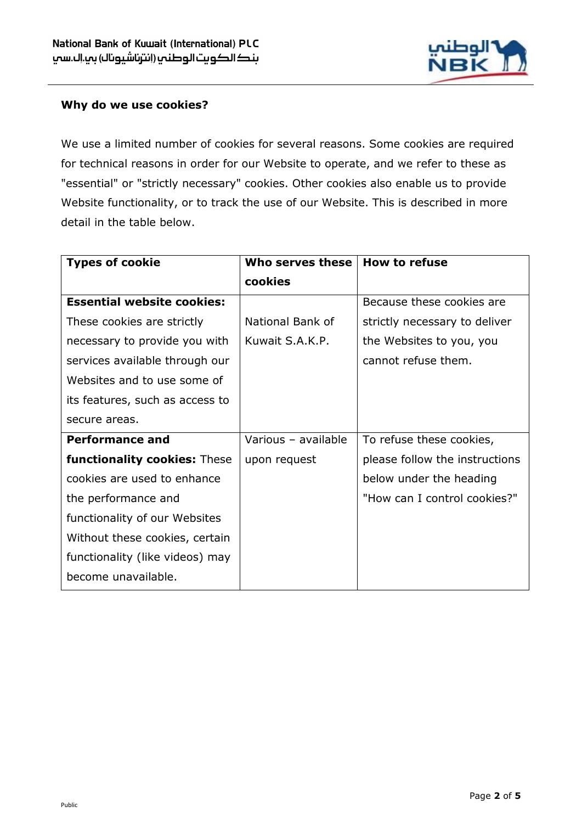

#### **Why do we use cookies?**

We use a limited number of cookies for several reasons. Some cookies are required for technical reasons in order for our Website to operate, and we refer to these as "essential" or "strictly necessary" cookies. Other cookies also enable us to provide Website functionality, or to track the use of our Website. This is described in more detail in the table below.

| <b>Types of cookie</b>              | Who serves these    | <b>How to refuse</b>           |
|-------------------------------------|---------------------|--------------------------------|
|                                     | cookies             |                                |
| <b>Essential website cookies:</b>   |                     | Because these cookies are      |
| These cookies are strictly          | National Bank of    | strictly necessary to deliver  |
| necessary to provide you with       | Kuwait S.A.K.P.     | the Websites to you, you       |
| services available through our      |                     | cannot refuse them.            |
| Websites and to use some of         |                     |                                |
| its features, such as access to     |                     |                                |
| secure areas.                       |                     |                                |
| <b>Performance and</b>              | Various - available | To refuse these cookies,       |
| <b>functionality cookies: These</b> | upon request        | please follow the instructions |
| cookies are used to enhance         |                     | below under the heading        |
| the performance and                 |                     | "How can I control cookies?"   |
| functionality of our Websites       |                     |                                |
| Without these cookies, certain      |                     |                                |
| functionality (like videos) may     |                     |                                |
| become unavailable.                 |                     |                                |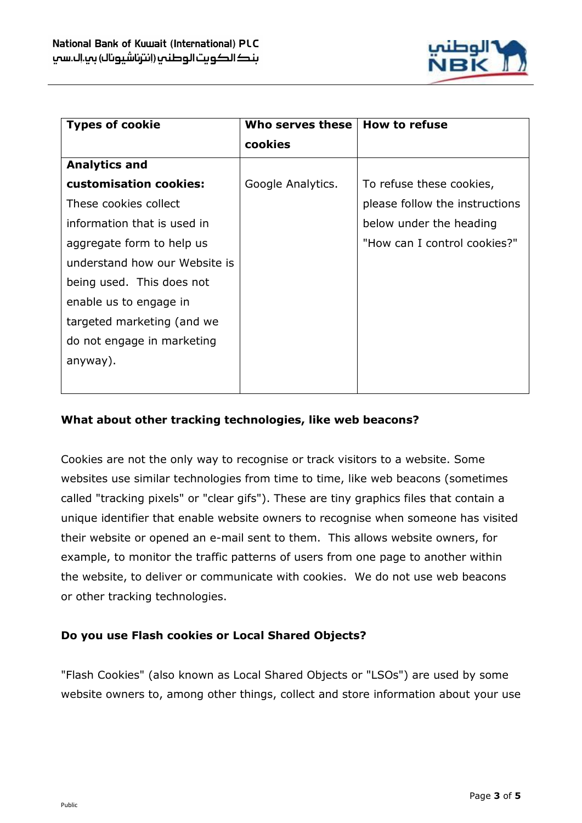

| <b>Types of cookie</b>        | Who serves these  | <b>How to refuse</b>           |
|-------------------------------|-------------------|--------------------------------|
|                               | cookies           |                                |
| <b>Analytics and</b>          |                   |                                |
| customisation cookies:        | Google Analytics. | To refuse these cookies,       |
| These cookies collect         |                   | please follow the instructions |
| information that is used in   |                   | below under the heading        |
| aggregate form to help us     |                   | "How can I control cookies?"   |
| understand how our Website is |                   |                                |
| being used. This does not     |                   |                                |
| enable us to engage in        |                   |                                |
| targeted marketing (and we    |                   |                                |
| do not engage in marketing    |                   |                                |
| anyway).                      |                   |                                |
|                               |                   |                                |

# **What about other tracking technologies, like web beacons?**

Cookies are not the only way to recognise or track visitors to a website. Some websites use similar technologies from time to time, like web beacons (sometimes called "tracking pixels" or "clear gifs"). These are tiny graphics files that contain a unique identifier that enable website owners to recognise when someone has visited their website or opened an e-mail sent to them. This allows website owners, for example, to monitor the traffic patterns of users from one page to another within the website, to deliver or communicate with cookies. We do not use web beacons or other tracking technologies.

### **Do you use Flash cookies or Local Shared Objects?**

"Flash Cookies" (also known as Local Shared Objects or "LSOs") are used by some website owners to, among other things, collect and store information about your use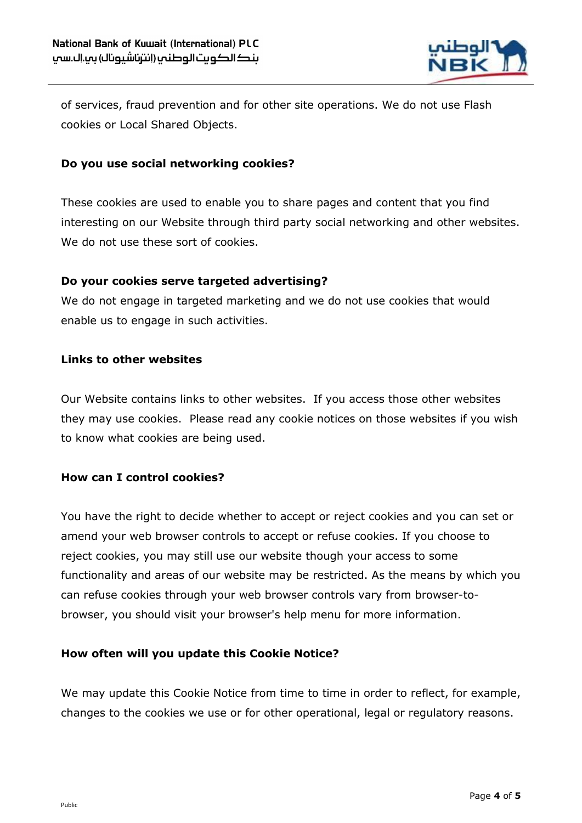

of services, fraud prevention and for other site operations. We do not use Flash cookies or Local Shared Objects.

## **Do you use social networking cookies?**

These cookies are used to enable you to share pages and content that you find interesting on our Website through third party social networking and other websites. We do not use these sort of cookies.

### **Do your cookies serve targeted advertising?**

We do not engage in targeted marketing and we do not use cookies that would enable us to engage in such activities.

# **Links to other websites**

Our Website contains links to other websites. If you access those other websites they may use cookies. Please read any cookie notices on those websites if you wish to know what cookies are being used.

### **How can I control cookies?**

You have the right to decide whether to accept or reject cookies and you can set or amend your web browser controls to accept or refuse cookies. If you choose to reject cookies, you may still use our website though your access to some functionality and areas of our website may be restricted. As the means by which you can refuse cookies through your web browser controls vary from browser-tobrowser, you should visit your browser's help menu for more information.

### **How often will you update this Cookie Notice?**

We may update this Cookie Notice from time to time in order to reflect, for example, changes to the cookies we use or for other operational, legal or regulatory reasons.